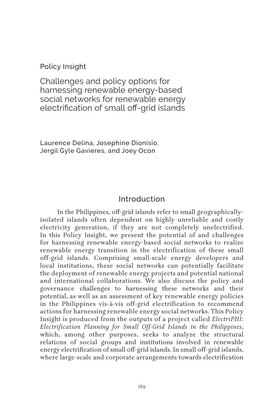Policy Insight

Challenges and policy options for harnessing renewable energy-based social networks for renewable energy electrification of small off-grid islands

Laurence Delina, Josephine Dionisio, Jergil Gyle Gavieres, and Joey Ocon

### Introduction

In the Philippines, off-grid islands refer to small geographicallyisolated islands often dependent on highly unreliable and costly electricity generation, if they are not completely unelectrified. In this Policy Insight, we present the potential of and challenges for harnessing renewable energy-based social networks to realize renewable energy transition in the electrification of these small off-grid islands. Comprising small-scale energy developers and local institutions, these social networks can potentially facilitate the deployment of renewable energy projects and potential national and international collaborations. We also discuss the policy and governance challenges to harnessing these networks and their potential, as well as an assessment of key renewable energy policies in the Philippines vis-à-vis off-grid electrification to recommend actions for harnessing renewable energy social networks. This Policy Insight is produced from the outputs of a project called *ElectriPHI: Electrification Planning for Small Off-Grid Islands in the Philippines*, which, among other purposes, seeks to analyze the structural relations of social groups and institutions involved in renewable energy electrification of small off-grid islands. In small off-grid islands, where large-scale and corporate arrangements towards electrification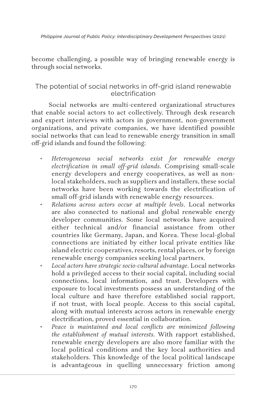become challenging, a possible way of bringing renewable energy is through social networks.

## The potential of social networks in off-grid island renewable electrification

Social networks are multi-centered organizational structures that enable social actors to act collectively. Through desk research and expert interviews with actors in government, non-government organizations, and private companies, we have identified possible social networks that can lead to renewable energy transition in small off-grid islands and found the following:

- *• Heterogeneous social networks exist for renewable energy electrification in small off-grid islands.* Comprising small-scale energy developers and energy cooperatives, as well as nonlocal stakeholders, such as suppliers and installers, these social networks have been working towards the electrification of small off-grid islands with renewable energy resources.
- *• Relations across actors occur at multiple levels*. Local networks are also connected to national and global renewable energy developer communities. Some local networks have acquired either technical and/or financial assistance from other countries like Germany, Japan, and Korea. These local-global connections are initiated by either local private entities like island electric cooperatives, resorts, rental places, or by foreign renewable energy companies seeking local partners.
- *• Local actors have strategic socio-cultural advantage*. Local networks hold a privileged access to their social capital, including social connections, local information, and trust. Developers with exposure to local investments possess an understanding of the local culture and have therefore established social rapport, if not trust, with local people. Access to this social capital, along with mutual interests across actors in renewable energy electrification, proved essential in collaboration.
- *• Peace is maintained and local conflicts are minimized following the establishment of mutual interests.* With rapport established, renewable energy developers are also more familiar with the local political conditions and the key local authorities and stakeholders. This knowledge of the local political landscape is advantageous in quelling unnecessary friction among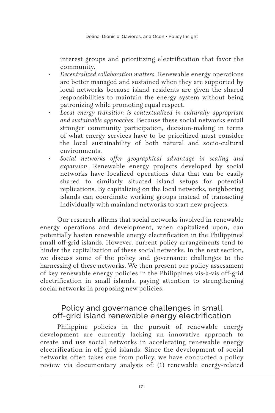interest groups and prioritizing electrification that favor the community.

- *• Decentralized collaboration matters.* Renewable energy operations are better managed and sustained when they are supported by local networks because island residents are given the shared responsibilities to maintain the energy system without being patronizing while promoting equal respect.
- *• Local energy transition is contextualized in culturally appropriate and sustainable approaches*. Because these social networks entail stronger community participation, decision-making in terms of what energy services have to be prioritized must consider the local sustainability of both natural and socio-cultural environments.
- *• Social networks offer geographical advantage in scaling and expansion.* Renewable energy projects developed by social networks have localized operations data that can be easily shared to similarly situated island setups for potential replications. By capitalizing on the local networks, neighboring islands can coordinate working groups instead of transacting individually with mainland networks to start new projects.

Our research affirms that social networks involved in renewable energy operations and development, when capitalized upon, can potentially hasten renewable energy electrification in the Philippines' small off-grid islands. However, current policy arrangements tend to hinder the capitalization of these social networks. In the next section, we discuss some of the policy and governance challenges to the harnessing of these networks. We then present our policy assessment of key renewable energy policies in the Philippines vis-à-vis off-grid electrification in small islands, paying attention to strengthening social networks in proposing new policies.

## Policy and governance challenges in small off-grid island renewable energy electrification

Philippine policies in the pursuit of renewable energy development are currently lacking an innovative approach to create and use social networks in accelerating renewable energy electrification in off-grid islands. Since the development of social networks often takes cue from policy, we have conducted a policy review via documentary analysis of: (1) renewable energy-related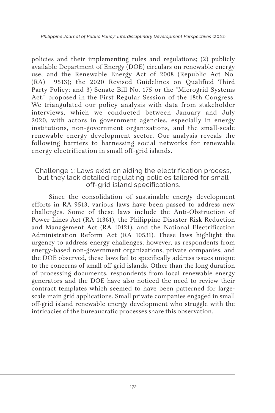policies and their implementing rules and regulations; (2) publicly available Department of Energy (DOE) circulars on renewable energy use, and the Renewable Energy Act of 2008 (Republic Act No. (RA) 9513); the 2020 Revised Guidelines on Qualified Third Party Policy; and 3) Senate Bill No. 175 or the "Microgrid Systems Act," proposed in the First Regular Session of the 18th Congress. We triangulated our policy analysis with data from stakeholder interviews, which we conducted between January and July 2020, with actors in government agencies, especially in energy institutions, non-government organizations, and the small-scale renewable energy development sector. Our analysis reveals the following barriers to harnessing social networks for renewable energy electrification in small off-grid islands.

#### Challenge 1: Laws exist on aiding the electrification process, but they lack detailed regulating policies tailored for small off-grid island specifications.

Since the consolidation of sustainable energy development efforts in RA 9513, various laws have been passed to address new challenges. Some of these laws include the Anti-Obstruction of Power Lines Act (RA 11361), the Philippine Disaster Risk Reduction and Management Act (RA 10121), and the National Electrification Administration Reform Act (RA 10531). These laws highlight the urgency to address energy challenges; however, as respondents from energy-based non-government organizations, private companies, and the DOE observed, these laws fail to specifically address issues unique to the concerns of small off-grid islands. Other than the long duration of processing documents, respondents from local renewable energy generators and the DOE have also noticed the need to review their contract templates which seemed to have been patterned for largescale main grid applications. Small private companies engaged in small off-grid island renewable energy development who struggle with the intricacies of the bureaucratic processes share this observation.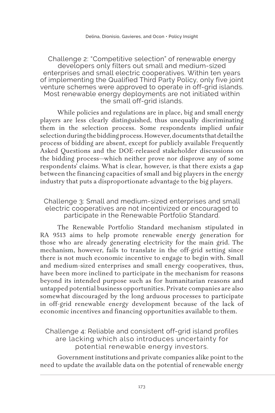#### Challenge 2: "Competitive selection" of renewable energy developers only filters out small and medium-sized enterprises and small electric cooperatives. Within ten years of implementing the Qualified Third Party Policy, only five joint venture schemes were approved to operate in off-grid islands. Most renewable energy deployments are not initiated within the small off-grid islands.

While policies and regulations are in place, big and small energy players are less clearly distinguished, thus unequally discriminating them in the selection process. Some respondents implied unfair selection during the bidding process. However, documents that detail the process of bidding are absent, except for publicly available Frequently Asked Questions and the DOE-released stakeholder discussions on the bidding process—which neither prove nor disprove any of some respondents' claims. What is clear, however, is that there exists a gap between the financing capacities of small and big players in the energy industry that puts a disproportionate advantage to the big players.

Challenge 3: Small and medium-sized enterprises and small electric cooperatives are not incentivized or encouraged to participate in the Renewable Portfolio Standard.

The Renewable Portfolio Standard mechanism stipulated in RA 9513 aims to help promote renewable energy generation for those who are already generating electricity for the main grid. The mechanism, however, fails to translate in the off-grid setting since there is not much economic incentive to engage to begin with. Small and medium-sized enterprises and small energy cooperatives, thus, have been more inclined to participate in the mechanism for reasons beyond its intended purpose such as for humanitarian reasons and untapped potential business opportunities. Private companies are also somewhat discouraged by the long arduous processes to participate in off-grid renewable energy development because of the lack of economic incentives and financing opportunities available to them.

Challenge 4: Reliable and consistent off-grid island profiles are lacking which also introduces uncertainty for potential renewable energy investors.

Government institutions and private companies alike point to the need to update the available data on the potential of renewable energy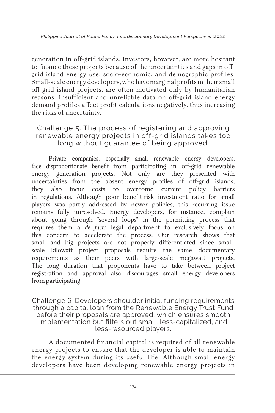generation in off-grid islands. Investors, however, are more hesitant to finance these projects because of the uncertainties and gaps in offgrid island energy use, socio-economic, and demographic profiles. Small-scale energy developers, who have marginal profits in their small off-grid island projects, are often motivated only by humanitarian reasons. Insufficient and unreliable data on off-grid island energy demand profiles affect profit calculations negatively, thus increasing the risks of uncertainty.

## Challenge 5: The process of registering and approving renewable energy projects in off-grid islands takes too long without guarantee of being approved.

Private companies, especially small renewable energy developers, face disproportionate benefit from participating in off-grid renewable energy generation projects. Not only are they presented with uncertainties from the absent energy profiles of off-grid islands, they also incur costs to overcome current policy barriers in regulations. Although poor benefit-risk investment ratio for small players was partly addressed by newer policies, this recurring issue remains fully unresolved. Energy developers, for instance, complain about going through "several loops" in the permitting process that requires them a *de facto* legal department to exclusively focus on this concern to accelerate the process. Our research shows that small and big projects are not properly differentiated since smallscale kilowatt project proposals require the same documentary requirements as their peers with large-scale megawatt projects. The long duration that proponents have to take between project registration and approval also discourages small energy developers from participating.

Challenge 6: Developers shoulder initial funding requirements through a capital loan from the Renewable Energy Trust Fund before their proposals are approved, which ensures smooth implementation but filters out small, less-capitalized, and less-resourced players.

A documented financial capital is required of all renewable energy projects to ensure that the developer is able to maintain the energy system during its useful life. Although small energy developers have been developing renewable energy projects in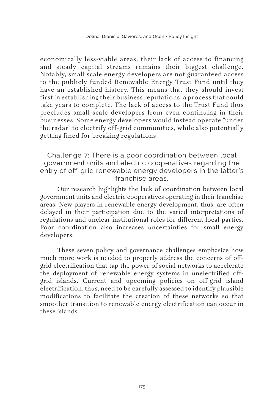economically less-viable areas, their lack of access to financing and steady capital streams remains their biggest challenge. Notably, small scale energy developers are not guaranteed access to the publicly funded Renewable Energy Trust Fund until they have an established history. This means that they should invest first in establishing their business reputations, a process that could take years to complete. The lack of access to the Trust Fund thus precludes small-scale developers from even continuing in their businesses. Some energy developers would instead operate "under the radar" to electrify off-grid communities, while also potentially getting fined for breaking regulations.

Challenge 7: There is a poor coordination between local government units and electric cooperatives regarding the entry of off-grid renewable energy developers in the latter's franchise areas.

Our research highlights the lack of coordination between local government units and electric cooperatives operating in their franchise areas. New players in renewable energy development, thus, are often delayed in their participation due to the varied interpretations of regulations and unclear institutional roles for different local parties. Poor coordination also increases uncertainties for small energy developers.

These seven policy and governance challenges emphasize how much more work is needed to properly address the concerns of offgrid electrification that tap the power of social networks to accelerate the deployment of renewable energy systems in unelectrified offgrid islands. Current and upcoming policies on off-grid island electrification, thus, need to be carefully assessed to identify plausible modifications to facilitate the creation of these networks so that smoother transition to renewable energy electrification can occur in these islands.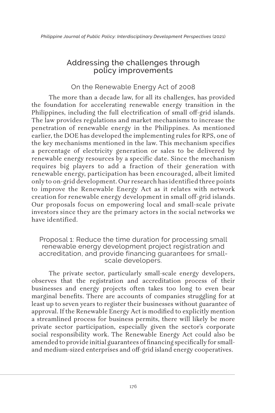# Addressing the challenges through policy improvements

## On the Renewable Energy Act of 2008

The more than a decade law, for all its challenges, has provided the foundation for accelerating renewable energy transition in the Philippines, including the full electrification of small off-grid islands. The law provides regulations and market mechanisms to increase the penetration of renewable energy in the Philippines. As mentioned earlier, the DOE has developed the implementing rules for RPS, one of the key mechanisms mentioned in the law. This mechanism specifies a percentage of electricity generation or sales to be delivered by renewable energy resources by a specific date. Since the mechanism requires big players to add a fraction of their generation with renewable energy, participation has been encouraged, albeit limited only to on-grid development. Our research has identified three points to improve the Renewable Energy Act as it relates with network creation for renewable energy development in small off-grid islands. Our proposals focus on empowering local and small-scale private investors since they are the primary actors in the social networks we have identified.

Proposal 1: Reduce the time duration for processing small renewable energy development project registration and accreditation, and provide financing guarantees for smallscale developers.

The private sector, particularly small-scale energy developers, observes that the registration and accreditation process of their businesses and energy projects often takes too long to even bear marginal benefits. There are accounts of companies struggling for at least up to seven years to register their businesses without guarantee of approval. If the Renewable Energy Act is modified to explicitly mention a streamlined process for business permits, there will likely be more private sector participation, especially given the sector's corporate social responsibility work. The Renewable Energy Act could also be amended to provide initial guarantees of financing specifically for smalland medium-sized enterprises and off-grid island energy cooperatives.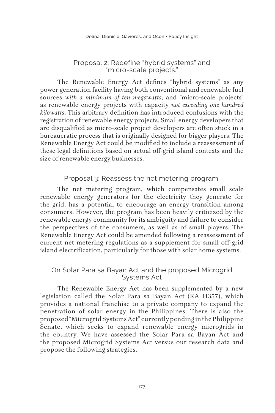#### Proposal 2: Redefine "hybrid systems" and "micro-scale projects."

The Renewable Energy Act defines "hybrid systems" as any power generation facility having both conventional and renewable fuel sources *with a minimum of ten megawatts*, and "micro-scale projects" as renewable energy projects with capacity *not exceeding one hundred kilowatts*. This arbitrary definition has introduced confusions with the registration of renewable energy projects. Small energy developers that are disqualified as micro-scale project developers are often stuck in a bureaucratic process that is originally designed for bigger players. The Renewable Energy Act could be modified to include a reassessment of these legal definitions based on actual off-grid island contexts and the size of renewable energy businesses.

Proposal 3: Reassess the net metering program.

The net metering program, which compensates small scale renewable energy generators for the electricity they generate for the grid, has a potential to encourage an energy transition among consumers. However, the program has been heavily criticized by the renewable energy community for its ambiguity and failure to consider the perspectives of the consumers, as well as of small players. The Renewable Energy Act could be amended following a reassessment of current net metering regulations as a supplement for small off-grid island electrification, particularly for those with solar home systems.

### On Solar Para sa Bayan Act and the proposed Microgrid Systems Act

The Renewable Energy Act has been supplemented by a new legislation called the Solar Para sa Bayan Act (RA 11357), which provides a national franchise to a private company to expand the penetration of solar energy in the Philippines. There is also the proposed "Microgrid Systems Act" currently pending in the Philippine Senate, which seeks to expand renewable energy microgrids in the country. We have assessed the Solar Para sa Bayan Act and the proposed Microgrid Systems Act versus our research data and propose the following strategies.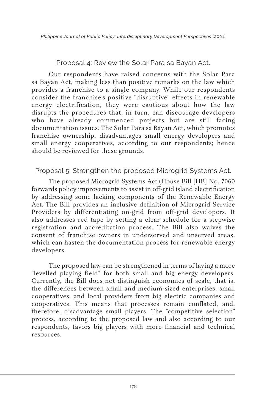Proposal 4: Review the Solar Para sa Bayan Act.

Our respondents have raised concerns with the Solar Para sa Bayan Act, making less than positive remarks on the law which provides a franchise to a single company. While our respondents consider the franchise's positive "disruptive" effects in renewable energy electrification, they were cautious about how the law disrupts the procedures that, in turn, can discourage developers who have already commenced projects but are still facing documentation issues. The Solar Para sa Bayan Act, which promotes franchise ownership, disadvantages small energy developers and small energy cooperatives, according to our respondents; hence should be reviewed for these grounds.

### Proposal 5: Strengthen the proposed Microgrid Systems Act.

The proposed Microgrid Systems Act (House Bill [HB] No. 7060 forwards policy improvements to assist in off-grid island electrification by addressing some lacking components of the Renewable Energy Act. The Bill provides an inclusive definition of Microgrid Service Providers by differentiating on-grid from off-grid developers. It also addresses red tape by setting a clear schedule for a stepwise registration and accreditation process. The Bill also waives the consent of franchise owners in underserved and unserved areas, which can hasten the documentation process for renewable energy developers.

The proposed law can be strengthened in terms of laying a more "levelled playing field" for both small and big energy developers. Currently, the Bill does not distinguish economies of scale, that is, the differences between small and medium-sized enterprises, small cooperatives, and local providers from big electric companies and cooperatives. This means that processes remain conflated, and, therefore, disadvantage small players. The "competitive selection" process, according to the proposed law and also according to our respondents, favors big players with more financial and technical resources.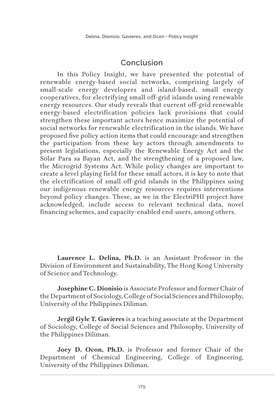# Conclusion

In this Policy Insight, we have presented the potential of renewable energy-based social networks, comprising largely of small-scale energy developers and island-based, small energy cooperatives, for electrifying small off-grid islands using renewable energy resources. Our study reveals that current off-grid renewable energy-based electrification policies lack provisions that could strengthen these important actors hence maximize the potential of social networks for renewable electrification in the islands. We have proposed five policy action items that could encourage and strengthen the participation from these key actors through amendments to present legislations, especially the Renewable Energy Act and the Solar Para sa Bayan Act, and the strengthening of a proposed law, the Microgrid Systems Act. While policy changes are important to create a level playing field for these small actors, it is key to note that the electrification of small off-grid islands in the Philippines using our indigenous renewable energy resources requires interventions beyond policy changes. These, as we in the ElectriPHI project have acknowledged, include access to relevant technical data, novel financing schemes, and capacity-enabled end-users, among others.

**Laurence L. Delina, Ph.D.** is an Assistant Professor in the Division of Environment and Sustainability, The Hong Kong University of Science and Technology.

**Josephine C. Dionisio** is Associate Professor and former Chair of the Department of Sociology, College of Social Sciences and Philosophy, University of the Philippines Diliman.

**Jergil Gyle T. Gavieres** is a teaching associate at the Department of Sociology, College of Social Sciences and Philosophy, University of the Philippines Diliman.

**Joey D. Ocon, Ph.D.** is Professor and former Chair of the Department of Chemical Engineering, College of Engineering, University of the Philippines Diliman.